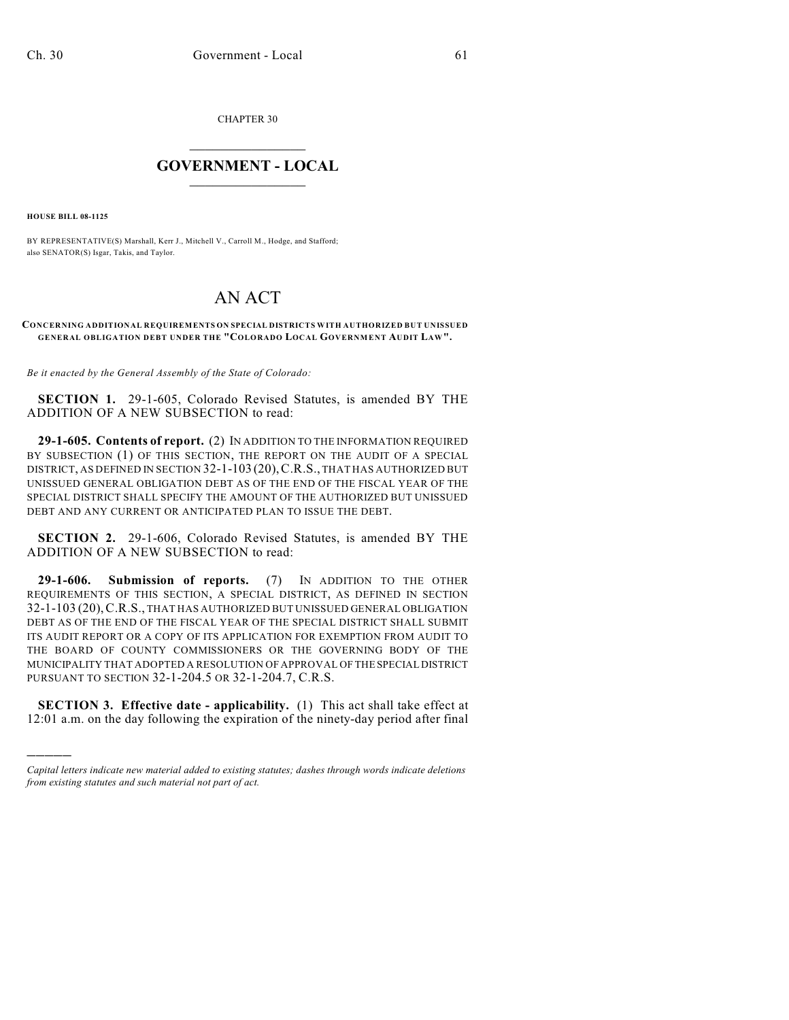CHAPTER 30

## $\overline{\phantom{a}}$  . The set of the set of the set of the set of the set of the set of the set of the set of the set of the set of the set of the set of the set of the set of the set of the set of the set of the set of the set o **GOVERNMENT - LOCAL**  $\_$

**HOUSE BILL 08-1125**

)))))

BY REPRESENTATIVE(S) Marshall, Kerr J., Mitchell V., Carroll M., Hodge, and Stafford; also SENATOR(S) Isgar, Takis, and Taylor.

## AN ACT

## **CONCERNING ADDITIONAL REQUIREMENTS ON SPECIAL DISTRICTS WITH AUTHORIZED BUT UNISSUED GENERAL OBLIGATION DEBT UNDER THE "COLORADO LOCAL GOVERNMENT AUDIT LAW".**

*Be it enacted by the General Assembly of the State of Colorado:*

**SECTION 1.** 29-1-605, Colorado Revised Statutes, is amended BY THE ADDITION OF A NEW SUBSECTION to read:

**29-1-605. Contents of report.** (2) IN ADDITION TO THE INFORMATION REQUIRED BY SUBSECTION (1) OF THIS SECTION, THE REPORT ON THE AUDIT OF A SPECIAL DISTRICT, AS DEFINED IN SECTION 32-1-103 (20),C.R.S., THAT HAS AUTHORIZED BUT UNISSUED GENERAL OBLIGATION DEBT AS OF THE END OF THE FISCAL YEAR OF THE SPECIAL DISTRICT SHALL SPECIFY THE AMOUNT OF THE AUTHORIZED BUT UNISSUED DEBT AND ANY CURRENT OR ANTICIPATED PLAN TO ISSUE THE DEBT.

**SECTION 2.** 29-1-606, Colorado Revised Statutes, is amended BY THE ADDITION OF A NEW SUBSECTION to read:

**29-1-606. Submission of reports.** (7) IN ADDITION TO THE OTHER REQUIREMENTS OF THIS SECTION, A SPECIAL DISTRICT, AS DEFINED IN SECTION 32-1-103 (20),C.R.S., THAT HAS AUTHORIZED BUT UNISSUED GENERAL OBLIGATION DEBT AS OF THE END OF THE FISCAL YEAR OF THE SPECIAL DISTRICT SHALL SUBMIT ITS AUDIT REPORT OR A COPY OF ITS APPLICATION FOR EXEMPTION FROM AUDIT TO THE BOARD OF COUNTY COMMISSIONERS OR THE GOVERNING BODY OF THE MUNICIPALITY THAT ADOPTED A RESOLUTION OF APPROVAL OF THE SPECIAL DISTRICT PURSUANT TO SECTION 32-1-204.5 OR 32-1-204.7, C.R.S.

**SECTION 3. Effective date - applicability.** (1) This act shall take effect at 12:01 a.m. on the day following the expiration of the ninety-day period after final

*Capital letters indicate new material added to existing statutes; dashes through words indicate deletions from existing statutes and such material not part of act.*